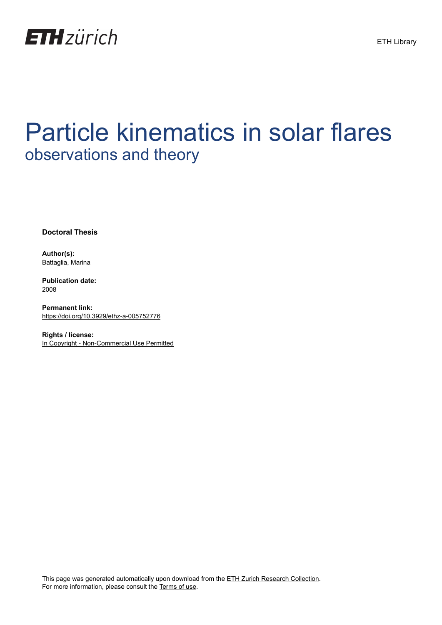

## Particle kinematics in solar flares observations and theory

**Doctoral Thesis**

**Author(s):** Battaglia, Marina

**Publication date:** 2008

**Permanent link:** <https://doi.org/10.3929/ethz-a-005752776>

**Rights / license:** [In Copyright - Non-Commercial Use Permitted](http://rightsstatements.org/page/InC-NC/1.0/)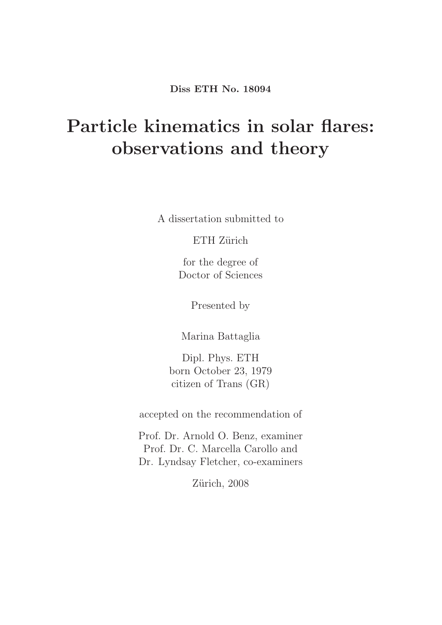Diss ETH No. 18094

## Particle kinematics in solar flares: observations and theory

A dissertation submitted to

ETH Zürich

for the degree of Doctor of Sciences

Presented by

Marina Battaglia

Dipl. Phys. ETH born October 23, 1979 citizen of Trans (GR)

accepted on the recommendation of

Prof. Dr. Arnold O. Benz, examiner Prof. Dr. C. Marcella Carollo and Dr. Lyndsay Fletcher, co-examiners

Zürich, 2008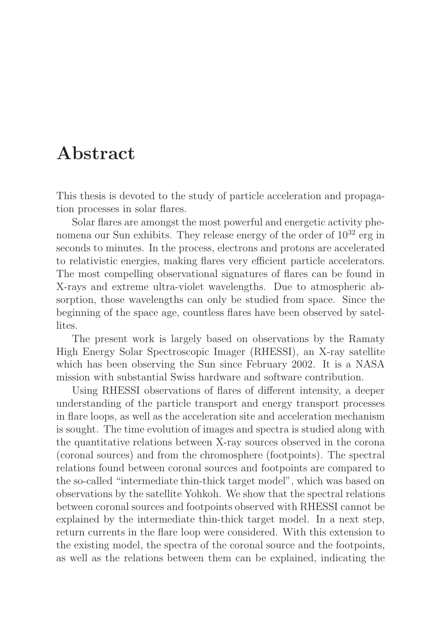## Abstract

This thesis is devoted to the study of particle acceleration and propagation processes in solar flares.

Solar flares are amongst the most powerful and energetic activity phenomena our Sun exhibits. They release energy of the order of  $10^{32}$  erg in seconds to minutes. In the process, electrons and protons are accelerated to relativistic energies, making flares very efficient particle accelerators. The most compelling observational signatures of flares can be found in X-rays and extreme ultra-violet wavelengths. Due to atmospheric absorption, those wavelengths can only be studied from space. Since the beginning of the space age, countless flares have been observed by satellites.

The present work is largely based on observations by the Ramaty High Energy Solar Spectroscopic Imager (RHESSI), an X-ray satellite which has been observing the Sun since February 2002. It is a NASA mission with substantial Swiss hardware and software contribution.

Using RHESSI observations of flares of different intensity, a deeper understanding of the particle transport and energy transport processes in flare loops, as well as the acceleration site and acceleration mechanism is sought. The time evolution of images and spectra is studied along with the quantitative relations between X-ray sources observed in the corona (coronal sources) and from the chromosphere (footpoints). The spectral relations found between coronal sources and footpoints are compared to the so-called "intermediate thin-thick target model", which was based on observations by the satellite Yohkoh. We show that the spectral relations between coronal sources and footpoints observed with RHESSI cannot be explained by the intermediate thin-thick target model. In a next step, return currents in the flare loop were considered. With this extension to the existing model, the spectra of the coronal source and the footpoints, as well as the relations between them can be explained, indicating the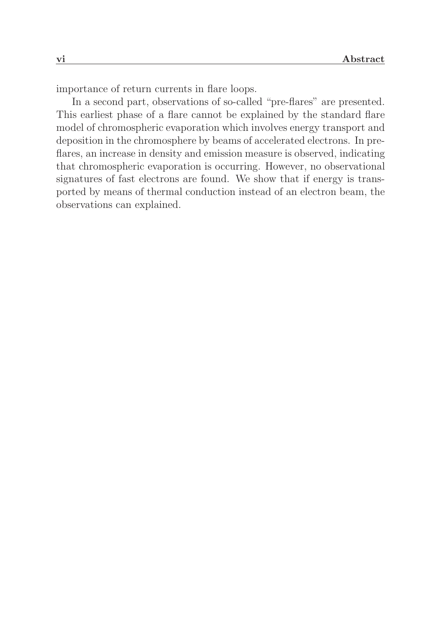importance of return currents in flare loops.

In a second part, observations of so-called "pre-flares" are presented. This earliest phase of a flare cannot be explained by the standard flare model of chromospheric evaporation which involves energy transport and deposition in the chromosphere by beams of accelerated electrons. In preflares, an increase in density and emission measure is observed, indicating that chromospheric evaporation is occurring. However, no observational signatures of fast electrons are found. We show that if energy is transported by means of thermal conduction instead of an electron beam, the observations can explained.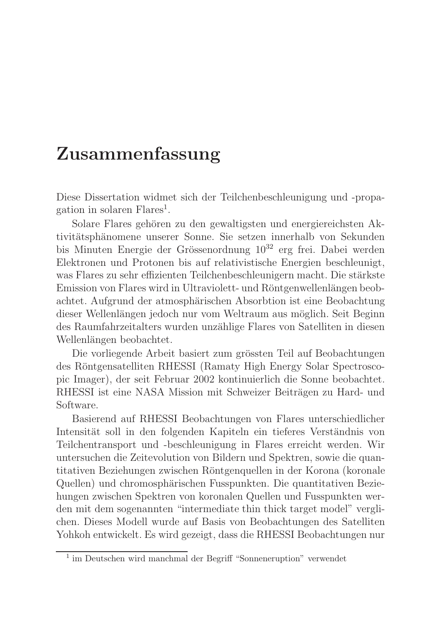## Zusammenfassung

Diese Dissertation widmet sich der Teilchenbeschleunigung und -propagation in solaren Flares<sup>1</sup>.

Solare Flares gehören zu den gewaltigsten und energiereichsten Aktivitätsphänomene unserer Sonne. Sie setzen innerhalb von Sekunden bis Minuten Energie der Grössenordnung  $10^{32}$  erg frei. Dabei werden Elektronen und Protonen bis auf relativistische Energien beschleunigt, was Flares zu sehr effizienten Teilchenbeschleunigern macht. Die stärkste Emission von Flares wird in Ultraviolett- und Röntgenwellenlängen beobachtet. Aufgrund der atmosphärischen Absorbtion ist eine Beobachtung dieser Wellenlängen jedoch nur vom Weltraum aus möglich. Seit Beginn des Raumfahrzeitalters wurden unzählige Flares von Satelliten in diesen Wellenlängen beobachtet.

Die vorliegende Arbeit basiert zum grössten Teil auf Beobachtungen des Röntgensatelliten RHESSI (Ramaty High Energy Solar Spectroscopic Imager), der seit Februar 2002 kontinuierlich die Sonne beobachtet. RHESSI ist eine NASA Mission mit Schweizer Beiträgen zu Hard- und Software.

Basierend auf RHESSI Beobachtungen von Flares unterschiedlicher Intensität soll in den folgenden Kapiteln ein tieferes Verständnis von Teilchentransport und -beschleunigung in Flares erreicht werden. Wir untersuchen die Zeitevolution von Bildern und Spektren, sowie die quantitativen Beziehungen zwischen Röntgenquellen in der Korona (koronale Quellen) und chromosphärischen Fusspunkten. Die quantitativen Beziehungen zwischen Spektren von koronalen Quellen und Fusspunkten werden mit dem sogenannten "intermediate thin thick target model" verglichen. Dieses Modell wurde auf Basis von Beobachtungen des Satelliten Yohkoh entwickelt. Es wird gezeigt, dass die RHESSI Beobachtungen nur

<sup>&</sup>lt;sup>1</sup> im Deutschen wird manchmal der Begriff "Sonneneruption" verwendet